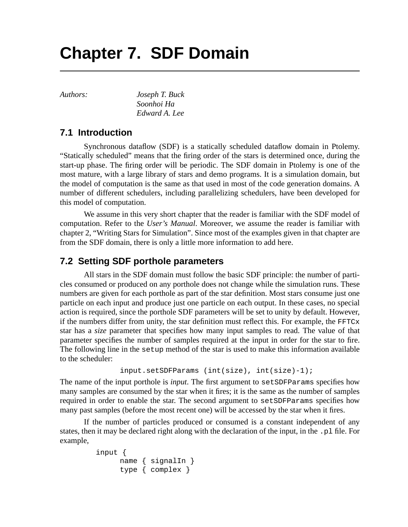## **Chapter 7. SDF Domain**

*Authors: Joseph T. Buck Soonhoi Ha Edward A. Lee*

## **7.1 Introduction**

Synchronous dataflow (SDF) is a statically scheduled dataflow domain in Ptolemy. "Statically scheduled" means that the firing order of the stars is determined once, during the start-up phase. The firing order will be periodic. The SDF domain in Ptolemy is one of the most mature, with a large library of stars and demo programs. It is a simulation domain, but the model of computation is the same as that used in most of the code generation domains. A number of different schedulers, including parallelizing schedulers, have been developed for this model of computation.

We assume in this very short chapter that the reader is familiar with the SDF model of computation. Refer to the *User's Manual*. Moreover, we assume the reader is familiar with chapter 2, "Writing Stars for Simulation". Since most of the examples given in that chapter are from the SDF domain, there is only a little more information to add here.

## **7.2 Setting SDF porthole parameters**

All stars in the SDF domain must follow the basic SDF principle: the number of particles consumed or produced on any porthole does not change while the simulation runs. These numbers are given for each porthole as part of the star definition. Most stars consume just one particle on each input and produce just one particle on each output. In these cases, no special action is required, since the porthole SDF parameters will be set to unity by default. However, if the numbers differ from unity, the star definition must reflect this. For example, the  $FFTCx$ star has a *size* parameter that specifies how many input samples to read. The value of that parameter specifies the number of samples required at the input in order for the star to fire. The following line in the setup method of the star is used to make this information available to the scheduler:

```
input.setSDFParams (int(size), int(size)-1);
```
The name of the input porthole is *input*. The first argument to setSDFParams specifies how many samples are consumed by the star when it fires; it is the same as the number of samples required in order to enable the star. The second argument to setSDFParams specifies how many past samples (before the most recent one) will be accessed by the star when it fires.

If the number of particles produced or consumed is a constant independent of any states, then it may be declared right along with the declaration of the input, in the .pl file. For example,

```
input {
     name { signalIn }
     type { complex }
```